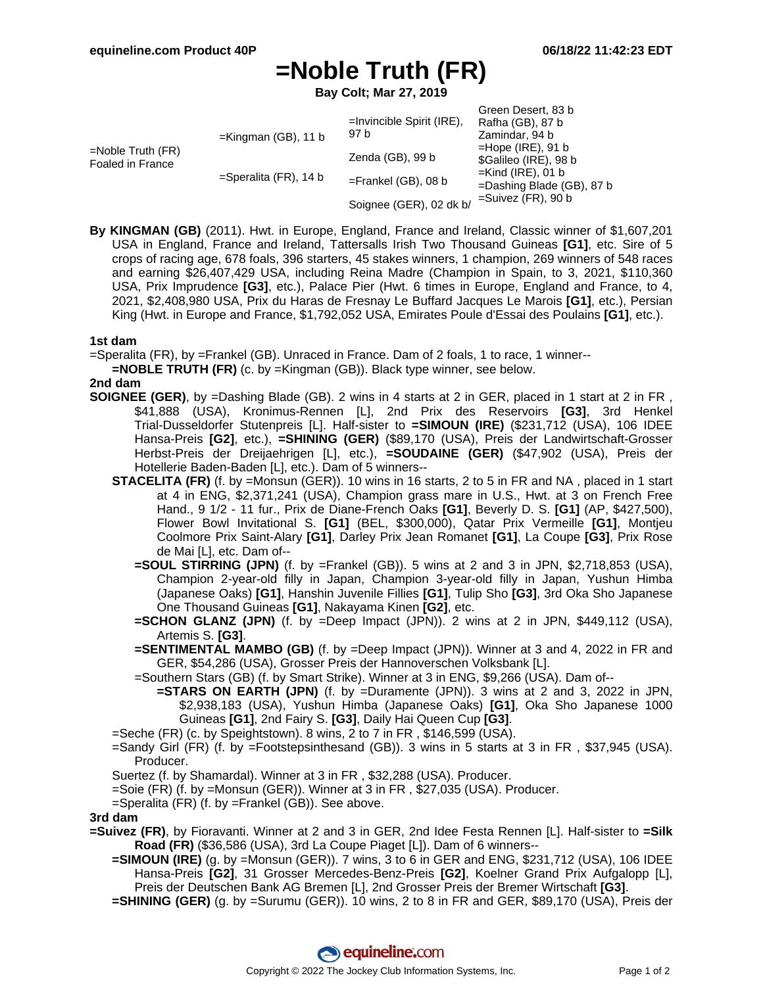# **=Noble Truth (FR)**

**Bay Colt; Mar 27, 2019**

| =Noble Truth (FR)<br>Foaled in France | $=$ Kingman (GB), 11 b   | $=$ Invincible Spirit (IRE),<br>97 b | Green Desert, 83 b<br>Rafha (GB), 87 b<br>Zamindar, 94 b<br>$=$ Hope (IRE), 91 b<br>\$Galileo (IRE), 98 b |
|---------------------------------------|--------------------------|--------------------------------------|-----------------------------------------------------------------------------------------------------------|
|                                       |                          | Zenda (GB), 99 b                     |                                                                                                           |
|                                       | $=$ Speralita (FR), 14 b | $=$ Frankel (GB), 08 b               | $=$ Kind (IRE), 01 b<br>=Dashing Blade (GB), 87 b                                                         |
|                                       |                          | Soignee (GER), 02 dk b/              | $=$ Suivez (FR), 90 b                                                                                     |

**By KINGMAN (GB)** (2011). Hwt. in Europe, England, France and Ireland, Classic winner of \$1,607,201 USA in England, France and Ireland, Tattersalls Irish Two Thousand Guineas **[G1]**, etc. Sire of 5 crops of racing age, 678 foals, 396 starters, 45 stakes winners, 1 champion, 269 winners of 548 races and earning \$26,407,429 USA, including Reina Madre (Champion in Spain, to 3, 2021, \$110,360 USA, Prix Imprudence **[G3]**, etc.), Palace Pier (Hwt. 6 times in Europe, England and France, to 4, 2021, \$2,408,980 USA, Prix du Haras de Fresnay Le Buffard Jacques Le Marois **[G1]**, etc.), Persian King (Hwt. in Europe and France, \$1,792,052 USA, Emirates Poule d'Essai des Poulains **[G1]**, etc.).

### **1st dam**

=Speralita (FR), by =Frankel (GB). Unraced in France. Dam of 2 foals, 1 to race, 1 winner--

**=NOBLE TRUTH (FR)** (c. by =Kingman (GB)). Black type winner, see below.

#### **2nd dam**

- **SOIGNEE (GER)**, by =Dashing Blade (GB). 2 wins in 4 starts at 2 in GER, placed in 1 start at 2 in FR , \$41,888 (USA), Kronimus-Rennen [L], 2nd Prix des Reservoirs **[G3]**, 3rd Henkel Trial-Dusseldorfer Stutenpreis [L]. Half-sister to **=SIMOUN (IRE)** (\$231,712 (USA), 106 IDEE Hansa-Preis **[G2]**, etc.), **=SHINING (GER)** (\$89,170 (USA), Preis der Landwirtschaft-Grosser Herbst-Preis der Dreijaehrigen [L], etc.), **=SOUDAINE (GER)** (\$47,902 (USA), Preis der Hotellerie Baden-Baden [L], etc.). Dam of 5 winners--
	- **STACELITA (FR)** (f. by =Monsun (GER)). 10 wins in 16 starts, 2 to 5 in FR and NA , placed in 1 start at 4 in ENG, \$2,371,241 (USA), Champion grass mare in U.S., Hwt. at 3 on French Free Hand., 9 1/2 - 11 fur., Prix de Diane-French Oaks **[G1]**, Beverly D. S. **[G1]** (AP, \$427,500), Flower Bowl Invitational S. **[G1]** (BEL, \$300,000), Qatar Prix Vermeille **[G1]**, Montjeu Coolmore Prix Saint-Alary **[G1]**, Darley Prix Jean Romanet **[G1]**, La Coupe **[G3]**, Prix Rose de Mai [L], etc. Dam of--
		- **=SOUL STIRRING (JPN)** (f. by =Frankel (GB)). 5 wins at 2 and 3 in JPN, \$2,718,853 (USA), Champion 2-year-old filly in Japan, Champion 3-year-old filly in Japan, Yushun Himba (Japanese Oaks) **[G1]**, Hanshin Juvenile Fillies **[G1]**, Tulip Sho **[G3]**, 3rd Oka Sho Japanese One Thousand Guineas **[G1]**, Nakayama Kinen **[G2]**, etc.
		- **=SCHON GLANZ (JPN)** (f. by =Deep Impact (JPN)). 2 wins at 2 in JPN, \$449,112 (USA), Artemis S. **[G3]**.
		- **=SENTIMENTAL MAMBO (GB)** (f. by =Deep Impact (JPN)). Winner at 3 and 4, 2022 in FR and GER, \$54,286 (USA), Grosser Preis der Hannoverschen Volksbank [L].
		- =Southern Stars (GB) (f. by Smart Strike). Winner at 3 in ENG, \$9,266 (USA). Dam of--
			- **=STARS ON EARTH (JPN)** (f. by =Duramente (JPN)). 3 wins at 2 and 3, 2022 in JPN, \$2,938,183 (USA), Yushun Himba (Japanese Oaks) **[G1]**, Oka Sho Japanese 1000 Guineas **[G1]**, 2nd Fairy S. **[G3]**, Daily Hai Queen Cup **[G3]**.
	- =Seche (FR) (c. by Speightstown). 8 wins, 2 to 7 in FR , \$146,599 (USA).
	- =Sandy Girl (FR) (f. by =Footstepsinthesand (GB)). 3 wins in 5 starts at 3 in FR , \$37,945 (USA). Producer.
	- Suertez (f. by Shamardal). Winner at 3 in FR , \$32,288 (USA). Producer.
	- =Soie (FR) (f. by =Monsun (GER)). Winner at 3 in FR , \$27,035 (USA). Producer.
	- =Speralita (FR) (f. by =Frankel (GB)). See above.

#### **3rd dam**

- **=Suivez (FR)**, by Fioravanti. Winner at 2 and 3 in GER, 2nd Idee Festa Rennen [L]. Half-sister to **=Silk Road (FR)** (\$36,586 (USA), 3rd La Coupe Piaget [L]). Dam of 6 winners--
	- **=SIMOUN (IRE)** (g. by =Monsun (GER)). 7 wins, 3 to 6 in GER and ENG, \$231,712 (USA), 106 IDEE Hansa-Preis **[G2]**, 31 Grosser Mercedes-Benz-Preis **[G2]**, Koelner Grand Prix Aufgalopp [L], Preis der Deutschen Bank AG Bremen [L], 2nd Grosser Preis der Bremer Wirtschaft **[G3]**.
	- **=SHINING (GER)** (g. by =Surumu (GER)). 10 wins, 2 to 8 in FR and GER, \$89,170 (USA), Preis der